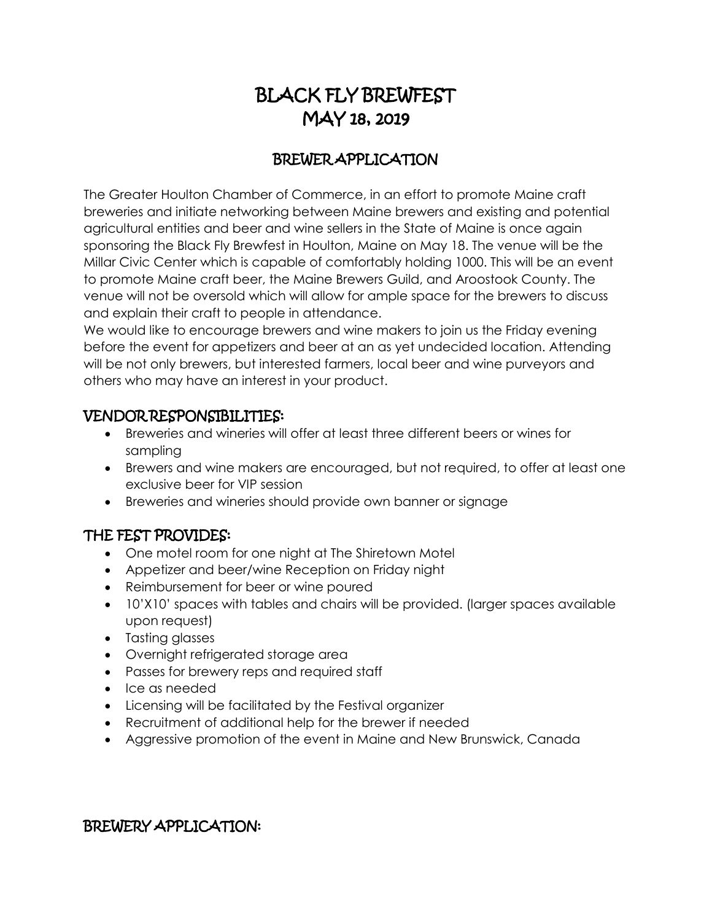# BLACK FLY BREWFEST MAY 18, 2019

# BREWER APPLICATION

The Greater Houlton Chamber of Commerce, in an effort to promote Maine craft breweries and initiate networking between Maine brewers and existing and potential agricultural entities and beer and wine sellers in the State of Maine is once again sponsoring the Black Fly Brewfest in Houlton, Maine on May 18. The venue will be the Millar Civic Center which is capable of comfortably holding 1000. This will be an event to promote Maine craft beer, the Maine Brewers Guild, and Aroostook County. The venue will not be oversold which will allow for ample space for the brewers to discuss and explain their craft to people in attendance.

We would like to encourage brewers and wine makers to join us the Friday evening before the event for appetizers and beer at an as yet undecided location. Attending will be not only brewers, but interested farmers, local beer and wine purveyors and others who may have an interest in your product.

## VENDOR RESPONSIBILITIES:

- Breweries and wineries will offer at least three different beers or wines for sampling
- Brewers and wine makers are encouraged, but not required, to offer at least one exclusive beer for VIP session
- Breweries and wineries should provide own banner or signage

### THE FEST PROVIDES:

- One motel room for one night at The Shiretown Motel
- Appetizer and beer/wine Reception on Friday night
- Reimbursement for beer or wine poured
- 10'X10' spaces with tables and chairs will be provided. (larger spaces available upon request)
- Tasting glasses
- Overnight refrigerated storage area
- Passes for brewery reps and required staff
- Ice as needed
- Licensing will be facilitated by the Festival organizer
- Recruitment of additional help for the brewer if needed
- Aggressive promotion of the event in Maine and New Brunswick, Canada

### BREWERY APPLICATION: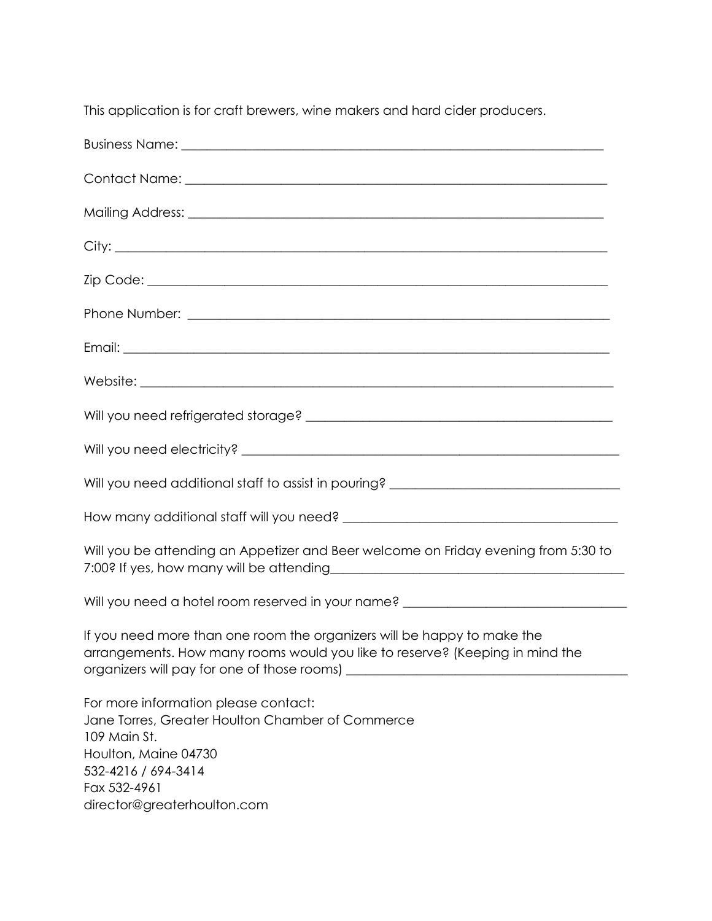This application is for craft brewers, wine makers and hard cider producers.

| Will you need additional staff to assist in pouring? ___________________________                                                                                                                       |
|--------------------------------------------------------------------------------------------------------------------------------------------------------------------------------------------------------|
|                                                                                                                                                                                                        |
| Will you be attending an Appetizer and Beer welcome on Friday evening from 5:30 to                                                                                                                     |
| Will you need a hotel room reserved in your name? ______________________________                                                                                                                       |
| If you need more than one room the organizers will be happy to make the<br>arrangements. How many rooms would you like to reserve? (Keeping in mind the                                                |
| For more information please contact:<br>Jane Torres, Greater Houlton Chamber of Commerce<br>109 Main St.<br>Houlton, Maine 04730<br>532-4216 / 694-3414<br>Fax 532-4961<br>director@greaterhoulton.com |